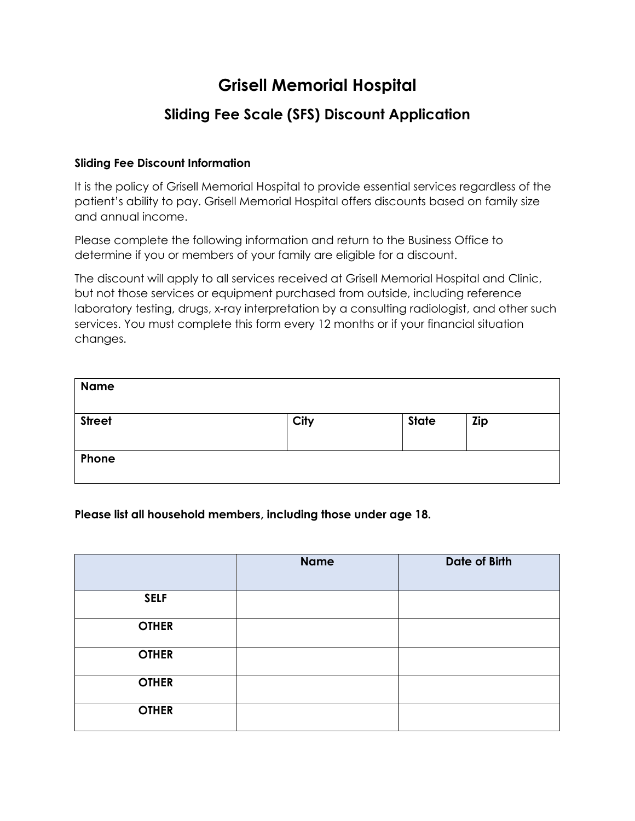# **Grisell Memorial Hospital**

## **Sliding Fee Scale (SFS) Discount Application**

#### **Sliding Fee Discount Information**

It is the policy of Grisell Memorial Hospital to provide essential services regardless of the patient's ability to pay. Grisell Memorial Hospital offers discounts based on family size and annual income.

Please complete the following information and return to the Business Office to determine if you or members of your family are eligible for a discount.

The discount will apply to all services received at Grisell Memorial Hospital and Clinic, but not those services or equipment purchased from outside, including reference laboratory testing, drugs, x-ray interpretation by a consulting radiologist, and other such services. You must complete this form every 12 months or if your financial situation changes.

| <b>Name</b>   |      |              |     |
|---------------|------|--------------|-----|
| <b>Street</b> | City | <b>State</b> | Zip |
| Phone         |      |              |     |

#### **Please list all household members, including those under age 18.**

|              | <b>Name</b> | <b>Date of Birth</b> |
|--------------|-------------|----------------------|
| <b>SELF</b>  |             |                      |
| <b>OTHER</b> |             |                      |
| <b>OTHER</b> |             |                      |
| <b>OTHER</b> |             |                      |
| <b>OTHER</b> |             |                      |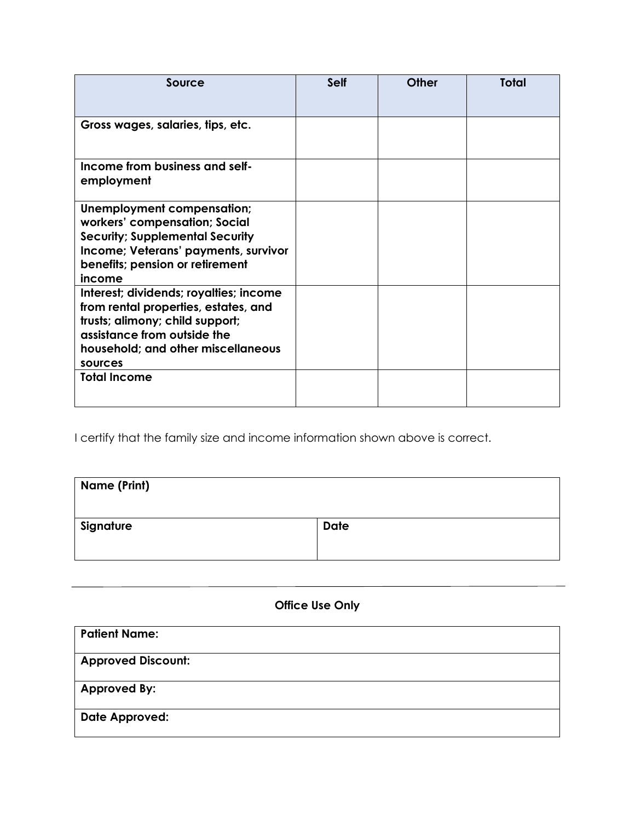| Source                                                                                                                                                                                            | <b>Self</b> | Other | <b>Total</b> |
|---------------------------------------------------------------------------------------------------------------------------------------------------------------------------------------------------|-------------|-------|--------------|
| Gross wages, salaries, tips, etc.                                                                                                                                                                 |             |       |              |
| Income from business and self-<br>employment                                                                                                                                                      |             |       |              |
| Unemployment compensation;<br>workers' compensation; Social<br><b>Security; Supplemental Security</b><br>Income; Veterans' payments, survivor<br>benefits; pension or retirement<br>income        |             |       |              |
| Interest; dividends; royalties; income<br>from rental properties, estates, and<br>trusts; alimony; child support;<br>assistance from outside the<br>household; and other miscellaneous<br>sources |             |       |              |
| <b>Total Income</b>                                                                                                                                                                               |             |       |              |

I certify that the family size and income information shown above is correct.

| <b>Name (Print)</b> |             |
|---------------------|-------------|
| Signature           | <b>Date</b> |

### **Office Use Only**

| <b>Patient Name:</b>      |  |
|---------------------------|--|
| <b>Approved Discount:</b> |  |
| <b>Approved By:</b>       |  |
| <b>Date Approved:</b>     |  |